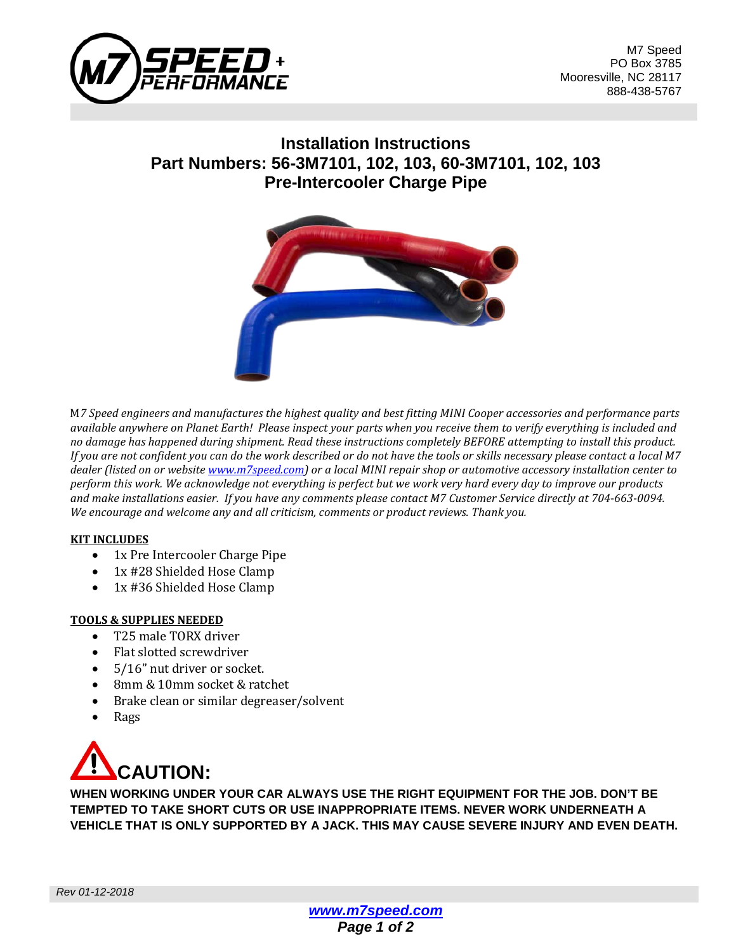

M7 Speed PO Box 3785 Mooresville, NC 28117 888-438-5767

## **Installation Instructions Part Numbers: 56-3M7101, 102, 103, 60-3M7101, 102, 103 Pre-Intercooler Charge Pipe**



M*7 Speed engineers and manufactures the highest quality and best fitting MINI Cooper accessories and performance parts available anywhere on Planet Earth! Please inspect your parts when you receive them to verify everything is included and no damage has happened during shipment. Read these instructions completely BEFORE attempting to install this product. If you are not confident you can do the work described or do not have the tools or skills necessary please contact a local M7 dealer (listed on or website [www.m7speed.com\)](http://www.m7speed.com/) or a local MINI repair shop or automotive accessory installation center to perform this work. We acknowledge not everything is perfect but we work very hard every day to improve our products and make installations easier. If you have any comments please contact M7 Customer Service directly at 704-663-0094. We encourage and welcome any and all criticism, comments or product reviews. Thank you.*

#### **KIT INCLUDES**

- 1x Pre Intercooler Charge Pipe
- 1x #28 Shielded Hose Clamp<br>• 1x #36 Shielded Hose Clamp
- 1x #36 Shielded Hose Clamp

#### **TOOLS & SUPPLIES NEEDED**

- T25 male TORX driver
- Flat slotted screwdriver
- 5/16" nut driver or socket.
- 8mm & 10mm socket & ratchet
- Brake clean or similar degreaser/solvent
- Rags



**WHEN WORKING UNDER YOUR CAR ALWAYS USE THE RIGHT EQUIPMENT FOR THE JOB. DON'T BE TEMPTED TO TAKE SHORT CUTS OR USE INAPPROPRIATE ITEMS. NEVER WORK UNDERNEATH A VEHICLE THAT IS ONLY SUPPORTED BY A JACK. THIS MAY CAUSE SEVERE INJURY AND EVEN DEATH.**